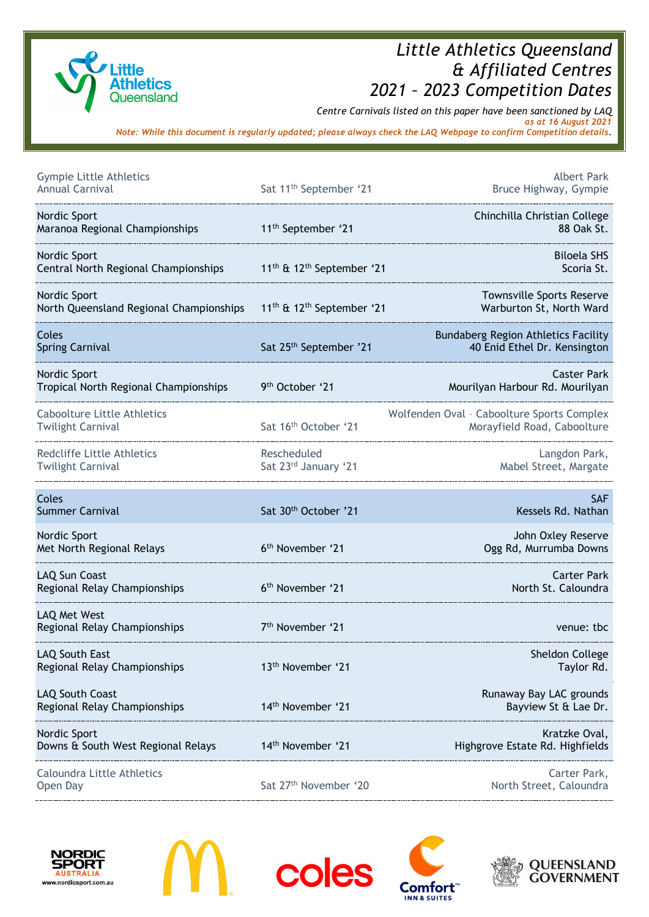

## *Little Athletics Queensland & Affiliated Centres 2021 – 2023 Competition Dates*

*Centre Carnivals listed on this paper have been sanctioned by LAQ as at 16 August 2021*

*Note: While this document is regularly updated; please always check the LAQ Webpage to confirm Competition details.*

| <b>Gympie Little Athletics</b><br><b>Annual Carnival</b>       | Sat 11 <sup>th</sup> September '21                | <b>Albert Park</b><br>Bruce Highway, Gympie                                |
|----------------------------------------------------------------|---------------------------------------------------|----------------------------------------------------------------------------|
| Nordic Sport<br>Maranoa Regional Championships                 | 11 <sup>th</sup> September '21                    | Chinchilla Christian College<br>88 Oak St.                                 |
| Nordic Sport<br>Central North Regional Championships           | 11 <sup>th</sup> & 12 <sup>th</sup> September '21 | <b>Biloela SHS</b><br>Scoria St.                                           |
| Nordic Sport<br>North Queensland Regional Championships        | 11 <sup>th</sup> & 12 <sup>th</sup> September '21 | <b>Townsville Sports Reserve</b><br>Warburton St, North Ward               |
| Coles<br><b>Spring Carnival</b>                                | Sat 25th September '21                            | <b>Bundaberg Region Athletics Facility</b><br>40 Enid Ethel Dr. Kensington |
| Nordic Sport<br>Tropical North Regional Championships          | 9 <sup>th</sup> October '21                       | <b>Caster Park</b><br>Mourilyan Harbour Rd. Mourilyan                      |
| <b>Caboolture Little Athletics</b><br><b>Twilight Carnival</b> | Sat 16 <sup>th</sup> October '21                  | Wolfenden Oval - Caboolture Sports Complex<br>Morayfield Road, Caboolture  |
| Redcliffe Little Athletics<br><b>Twilight Carnival</b>         | Rescheduled<br>Sat 23rd January '21               | Langdon Park,<br>Mabel Street, Margate                                     |
|                                                                |                                                   |                                                                            |
| Coles<br><b>Summer Carnival</b>                                | Sat 30 <sup>th</sup> October '21                  | <b>SAF</b><br>Kessels Rd. Nathan                                           |
| Nordic Sport<br>Met North Regional Relays                      | 6 <sup>th</sup> November '21                      | John Oxley Reserve<br>Ogg Rd, Murrumba Downs                               |
| <b>LAQ Sun Coast</b><br>Regional Relay Championships           | 6 <sup>th</sup> November '21                      | <b>Carter Park</b><br>North St. Caloundra                                  |
| LAQ Met West<br>Regional Relay Championships                   | 7 <sup>th</sup> November '21                      | venue: tbc                                                                 |
| LAQ South East<br>Regional Relay Championships                 | 13 <sup>th</sup> November '21                     | Sheldon College<br>Taylor Rd.                                              |
| LAQ South Coast<br>Regional Relay Championships                | 14 <sup>th</sup> November '21                     | Runaway Bay LAC grounds<br>Bayview St & Lae Dr.                            |
| Nordic Sport<br>Downs & South West Regional Relays             | 14th November '21                                 | Kratzke Oval,<br>Highgrove Estate Rd. Highfields                           |